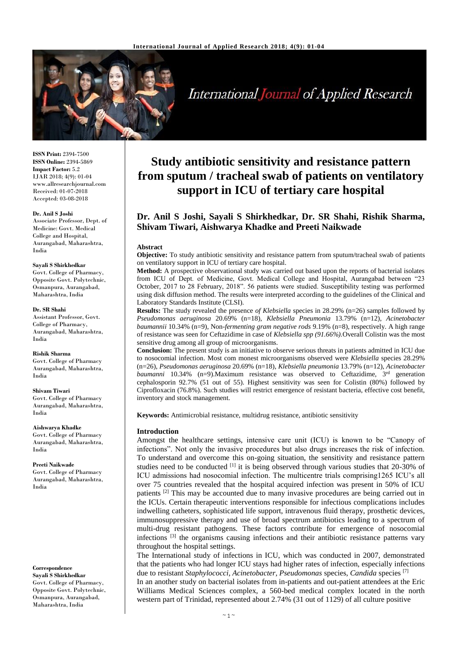

**International Journal of Applied Research** 

**ISSN Print:** 2394-7500 **ISSN Online:** 2394-5869 **Impact Factor:** 5.2 IJAR 2018; 4(9): 01-04 www.allresearchjournal.com Received: 01-07-2018 Accepted: 03-08-2018

#### **Dr. Anil S Joshi**

Associate Professor, Dept. of Medicine: Govt. Medical College and Hospital, Aurangabad, Maharashtra, India

#### **Sayali S Shirkhedkar**

Govt. College of Pharmacy, Opposite Govt. Polytechnic, Osmanpura, Aurangabad, Maharashtra, India

#### **Dr. SR Shahi**

Assistant Professor, Govt. College of Pharmacy, Aurangabad, Maharashtra, India

#### **Rishik Sharma**

Govt. College of Pharmacy Aurangabad, Maharashtra, India

#### **Shivam Tiwari**

Govt. College of Pharmacy Aurangabad, Maharashtra, India

## **Aishwarya Khadke** Govt. College of Pharmacy

Aurangabad, Maharashtra, India

#### **Preeti Naikwade**

Govt. College of Pharmacy Aurangabad, Maharashtra, India

**Correspondence Sayali S Shirkhedkar** Govt. College of Pharmacy, Opposite Govt. Polytechnic, Osmanpura, Aurangabad, Maharashtra, India

# **Study antibiotic sensitivity and resistance pattern from sputum / tracheal swab of patients on ventilatory support in ICU of tertiary care hospital**

# **Dr. Anil S Joshi, Sayali S Shirkhedkar, Dr. SR Shahi, Rishik Sharma, Shivam Tiwari, Aishwarya Khadke and Preeti Naikwade**

#### **Abstract**

**Objective:** To study antibiotic sensitivity and resistance pattern from sputum/tracheal swab of patients on ventilatory support in ICU of tertiary care hospital.

**Method:** A prospective observational study was carried out based upon the reports of bacterial isolates from ICU of Dept. of Medicine, Govt. Medical College and Hospital, Aurangabad between "23 October, 2017 to 28 February, 2018". 56 patients were studied. Susceptibility testing was performed using disk diffusion method. The results were interpreted according to the guidelines of the Clinical and Laboratory Standards Institute (CLSI).

**Results:** The study revealed the presence *of Klebsiella* species in 28.29% (n=26) samples followed by *Pseudomonas aeruginosa* 20.69% (n=18), *Klebsiella Pneumonia* 13.79% (n=12), *Acinetobacter baumannii* 10.34% (n=9), Non-*fermenting gram negative rods* 9.19% (n=8), respectively. A high range of resistance was seen for Ceftazidime in case of *Klebsiella spp (91.66%).*Overall Colistin was the most sensitive drug among all group of microorganisms.

**Conclusion:** The present study is an initiative to observe serious threats in patients admitted in ICU due to nosocomial infection. Most com monest microorganisms observed were *Klebsiella* species 28.29% (n=26), *Pseudomonas aeruginosa* 20.69% (n=18), *Klebsiella pneumonia* 13.79% (n=12), *Acinetobacter*  baumanni 10.34% (n=9).Maximum resistance was observed to Ceftazidime, 3<sup>rd</sup> generation cephalosporin 92.7% (51 out of 55). Highest sensitivity was seen for Colistin (80%) followed by Ciprofloxacin (76.8%). Such studies will restrict emergence of resistant bacteria, effective cost benefit, inventory and stock management.

**Keywords:** Antimicrobial resistance, multidrug resistance, antibiotic sensitivity

# **Introduction**

Amongst the healthcare settings, intensive care unit (ICU) is known to be "Canopy of infections". Not only the invasive procedures but also drugs increases the risk of infection. To understand and overcome this on-going situation, the sensitivity and resistance pattern studies need to be conducted  $^{[1]}$  it is being observed through various studies that 20-30% of ICU admissions had nosocomial infection. The multicentre trials comprising1265 ICU's all over 75 countries revealed that the hospital acquired infection was present in 50% of ICU patients  $[2]$  This may be accounted due to many invasive procedures are being carried out in the ICUs. Certain therapeutic interventions responsible for infectious complications includes indwelling catheters, sophisticated life support, intravenous fluid therapy, prosthetic devices, immunosuppressive therapy and use of broad spectrum antibiotics leading to a spectrum of multi-drug resistant pathogens. These factors contribute for emergence of nosocomial infections <sup>[3]</sup> the organisms causing infections and their antibiotic resistance patterns vary throughout the hospital settings.

The International study of infections in ICU, which was conducted in 2007, demonstrated that the patients who had longer ICU stays had higher rates of infection, especially infections due to resistant *Staphylococci, Acinetobacter, Pseudomonas* species*, Candida* species [7] In an another study on bacterial isolates from in-patients and out-patient attendees at the Eric Williams Medical Sciences complex, a 560-bed medical complex located in the north western part of Trinidad, represented about 2.74% (31 out of 1129) of all culture positive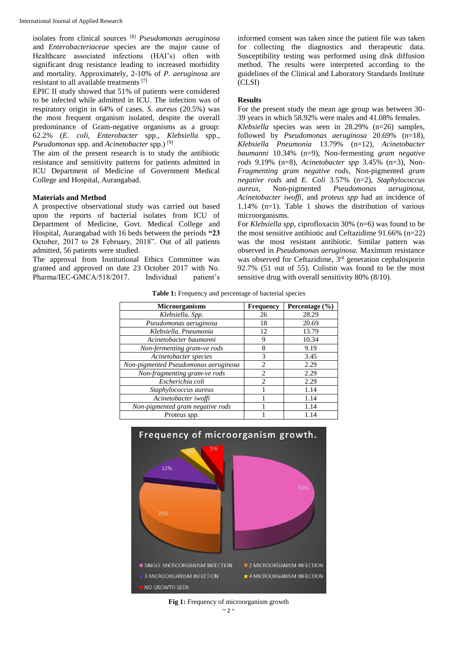isolates from clinical sources [8] *Pseudomonas aeruginosa*  and *Enterobacteriaceae* species are the major cause of Healthcare associated infections (HAI's) often with significant drug resistance leading to increased morbidity and mortality. Approximately, 2-10% of *P. aeruginosa* are resistant to all available treatments [7]

EPIC II study showed that 51% of patients were considered to be infected while admitted in ICU. The infection was of respiratory origin in 64% of cases. *S. aureus* (20.5%) was the most frequent organism isolated, despite the overall predominance of Gram-negative organisms as a group: 62.2% (*E. coli*, *Enterobacter* spp., *Klebsiella* spp., *Pseudomonas* spp. and *Acinetobacter* spp.) [9]

The aim of the present research is to study the antibiotic resistance and sensitivity patterns for patients admitted in ICU Department of Medicine of Government Medical College and Hospital, Aurangabad.

### **Materials and Method**

A prospective observational study was carried out based upon the reports of bacterial isolates from ICU of Department of Medicine, Govt. Medical College and Hospital, Aurangabad with 16 beds between the periods **"23**  October, 2017 to 28 February, 2018". Out of all patients admitted, 56 patients were studied.

The approval from Institutional Ethics Committee was granted and approved on date 23 October 2017 with No. Pharma/IEC-GMCA/518/2017. Individual patient's

informed consent was taken since the patient file was taken for collecting the diagnostics and therapeutic data. Susceptibility testing was performed using disk diffusion method. The results were interpreted according to the guidelines of the Clinical and Laboratory Standards Institute  $\overline{C}$ LSI)

# **Results**

For the present study the mean age group was between 30- 39 years in which 58.92% were males and 41.08% females.

*Klebsiella* species was seen in 28.29% (n=26) samples, followed by *Pseudomonas aeruginosa* 20.69% (n=18), *Klebsiella Pneumonia* 13.79% (n=12), *Acinetobacter baumanni* 10.34% (n=9), Non-fermenting *gram negative rods* 9.19% (n=8), *Acinetobacter spp* 3.45% (n=3), Non-*Fragmenting gram negative rods,* Non-pigmented *gram negative rods* and *E. Coli* 3.57% (n=2), *Staphylococcus aureus,* Non-pigmented *Pseudomonas aeruginosa, Acinetobacter iwoffi,* and *proteus spp* had an incidence of 1.14% (n=1). Table 1 shows the distribution of various microorganisms.

For *Klebsiella spp,* ciprofloxacin 30% (n=6) was found to be the most sensitive antibiotic and Ceftazidime  $91.66\%$  (n=22) was the most resistant antibiotic. Similar pattern was observed in *Pseudomonas aeruginosa.* Maximum resistance was observed for Ceftazidime, 3<sup>rd</sup> generation cephalosporin 92.7% (51 out of 55). Colistin was found to be the most sensitive drug with overall sensitivity 80% (8/10).

**Table 1:** Frequency and percentage of bacterial species

| <b>Microorganisms</b>                | <b>Frequency</b>            | Percentage (%) |
|--------------------------------------|-----------------------------|----------------|
| Klebsiella. Spp.                     | 26                          | 28.29          |
| Pseudomonas aeruginosa               | 18                          | 20.69          |
| Klebsiella. Pneumonia                | 12                          | 13.79          |
| Acinetobacter baumanni               | 9                           | 10.34          |
| Non-fermenting gram-ve rods          | 8                           | 9.19           |
| Acinetobacter species                | 3                           | 3.45           |
| Non-pigmented Pseudomonas aeruginosa | $\mathcal{D}_{\mathcal{L}}$ | 2.29           |
| Non-fragmenting gram-ve rods         | 2                           | 2.29           |
| Escherichia coli                     | $\mathcal{D}_{\mathcal{A}}$ | 2.29           |
| Staphylococcus aureus                |                             | 1.14           |
| Acinetobacter iwoffi                 |                             | 1.14           |
| Non-pigmented gram negative rods     |                             | 1.14           |
| Proteus spp.                         |                             | 1.14           |



 $~\sim$  2  $~\sim$ Fig 1: Frequency of microorganism growth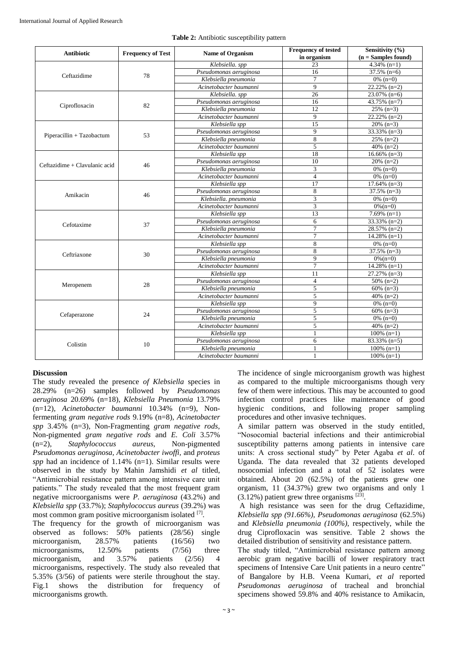| <b>Antibiotic</b>             | <b>Frequency of Test</b> | <b>Name of Organism</b> | <b>Frequency of tested</b> | Sensitivity $(\% )$       |
|-------------------------------|--------------------------|-------------------------|----------------------------|---------------------------|
|                               |                          |                         | in organism                | $(n = Samples found)$     |
| Ceftazidime                   | 78                       | Klebsiella. spp         | 23                         | $4.34\%$ (n=1)            |
|                               |                          | Pseudomonas aeruginosa  | 16                         | $\overline{37.5\%}$ (n=6) |
|                               |                          | Klebsiella pneumonia    | $\overline{7}$             | $0\%$ (n=0)               |
|                               |                          | Acinetobacter baumanni  | $\overline{9}$             | $22.22\%$ (n=2)           |
| Ciprofloxacin                 | 82                       | Klebsiella. spp         | 26                         | $23.07\%$ (n=6)           |
|                               |                          | Pseudomonas aeruginosa  | 16                         | 43.75% $(n=7)$            |
|                               |                          | Klebsiella pneumonia    | 12                         | $25\%$ (n=3)              |
|                               |                          | Acinetobacter baumanni  | 9                          | $22.22\%$ (n=2)           |
| Piperacillin + Tazobactum     | 53                       | Klebsiella spp          | 15                         | $20\%$ (n=3)              |
|                               |                          | Pseudomonas aeruginosa  | $\overline{9}$             | $33.33\%$ (n=3)           |
|                               |                          | Klebsiella pneumonia    | 8                          | $25\%$ (n=2)              |
|                               |                          | Acinetobacter baumanni  | 5                          | 40% $(n=2)$               |
| Ceftazidime + Clavulanic acid | 46                       | Klebsiella spp          | 18                         | $16.66\%$ (n=3)           |
|                               |                          | Pseudomonas aeruginosa  | 10                         | $20\%$ (n=2)              |
|                               |                          | Klebsiella pneumonia    | 3                          | $0\%$ (n=0)               |
|                               |                          | Acinetobacter baumanni  | $\overline{4}$             | $0\%$ (n=0)               |
| Amikacin                      |                          | Klebsiella spp          | 17                         | $17.64\%$ (n=3)           |
|                               | 46                       | Pseudomonas aeruginosa  | 8                          | $37.5\%$ (n=3)            |
|                               |                          | Klebsiella, pneumonia   | $\overline{\mathbf{3}}$    | $0\%$ (n=0)               |
|                               |                          | Acinetobacter baumanni  | $\overline{3}$             | $0\%$ (n=0)               |
| Cefotaxime                    | 37                       | Klebsiella spp          | 13                         | $7.69\%$ (n=1)            |
|                               |                          | Pseudomonas aeruginosa  | 6                          | $33.33\%$ (n=2)           |
|                               |                          | Klebsiella pneumonia    | $\overline{7}$             | $28.57\%$ (n=2)           |
|                               |                          | Acinetobacter baumanni  | $\overline{7}$             | $14.28\%$ (n=1)           |
| Ceftriaxone                   | 30                       | Klebsiella spp          | 8                          | $0\%$ (n=0)               |
|                               |                          | Pseudomonas aeruginosa  | 8                          | $37.5\%$ (n=3)            |
|                               |                          | Klebsiella pneumonia    | 9                          | $0\%$ (n=0)               |
|                               |                          | Acinetobacter baumanni  | $\overline{7}$             | $14.28\%$ (n=1)           |
| Meropenem                     | 28                       | Klebsiella spp          | 11                         | $27.27\%$ (n=3)           |
|                               |                          | Pseudomonas aeruginosa  | $\overline{4}$             | $50\%$ (n=2)              |
|                               |                          | Klebsiella pneumonia    | 5                          | $\frac{60}{60}$ (n=3)     |
|                               |                          | Acinetobacter baumanni  | 5                          | 40% $(n=2)$               |
| Cefaperazone                  | 24                       | Klebsiella spp          | $\overline{9}$             | $0\%$ (n=0)               |
|                               |                          | Pseudomonas aeruginosa  | 5                          | $60\%$ (n=3)              |
|                               |                          | Klebsiella pneumonia    | 5                          | $0\%$ (n=0)               |
|                               |                          | Acinetobacter baumanni  | 5                          | $\frac{40\% (n=2)}{2}$    |
| Colistin                      | 10                       | Klebsiella spp          | $\mathbf{1}$               | $100\%$ (n=1)             |
|                               |                          | Pseudomonas aeruginosa  | 6                          | 83.33% (n=5)              |
|                               |                          | Klebsiella pneumonia    | $\mathbf{1}$               | $100\%$ (n=1)             |
|                               |                          | Acinetobacter baumanni  | 1                          | $100\% (n=1)$             |

#### **Table 2:** Antibiotic susceptibility pattern

# **Discussion**

The study revealed the presence *of Klebsiella* species in 28.29% (n=26) samples followed by *Pseudomonas aeruginosa* 20.69% (n=18), *Klebsiella Pneumonia* 13.79% (n=12), *Acinetobacter baumanni* 10.34% (n=9), Nonfermenting *gram negative rods* 9.19% (n=8), *Acinetobacter spp* 3.45% (n=3), Non-Fragmenting *gram negative rods,*  Non-pigmented *gram negative rods* and *E. Coli* 3.57% (n=2), *Staphylococcus aureus,* Non-pigmented *Pseudomonas aeruginosa, Acinetobacter iwoffi,* and *proteus spp* had an incidence of 1.14% (n=1). Similar results were observed in the study by Mahin Jamshidi *et al* titled, "Antimicrobial resistance pattern among intensive care unit patients." The study revealed that the most frequent gram negative microorganisms were *P. aeruginosa* (43.2%) and *Klebsiella spp* (33.7%); *Staphylococcus aureus* (39.2%) was most common gram positive microorganism isolated [7].

The frequency for the growth of microorganism was observed as follows: 50% patients (28/56) single microorganism, 28.57% patients (16/56) two microorganisms, 12.50% patients (7/56) three microorganism, and 3.57% patients (2/56) 4 microorganisms, respectively. The study also revealed that 5.35% (3/56) of patients were sterile throughout the stay. Fig.1 shows the distribution for frequency of microorganisms growth.

The incidence of single microorganism growth was highest as compared to the multiple microorganisms though very few of them were infectious. This may be accounted to good infection control practices like maintenance of good hygienic conditions, and following proper sampling procedures and other invasive techniques.

A similar pattern was observed in the study entitled, "Nosocomial bacterial infections and their antimicrobial susceptibility patterns among patients in intensive care units: A cross sectional study" by Peter Agaba *et al*. of Uganda. The data revealed that 32 patients developed nosocomial infection and a total of 52 isolates were obtained. About 20 (62.5%) of the patients grew one organism, 11 (34.37%) grew two organisms and only 1  $(3.12\%)$  patient grew three organisms  $^{[23]}$ .

A high resistance was seen for the drug Ceftazidime, *Klebsiella spp (91.66%), Pseudomonas aeruginosa* (62.5%) and *Klebsiella pneumonia (100%)*, respectively, while the drug Ciprofloxacin was sensitive. Table 2 shows the detailed distribution of sensitivity and resistance pattern.

The study titled, "Antimicrobial resistance pattern among aerobic gram negative bacilli of lower respiratory tract specimens of Intensive Care Unit patients in a neuro centre" of Bangalore by H.B. Veena Kumari, *et al* reported *Pseudomonas aeruginosa* of tracheal and bronchial specimens showed 59.8% and 40% resistance to Amikacin,